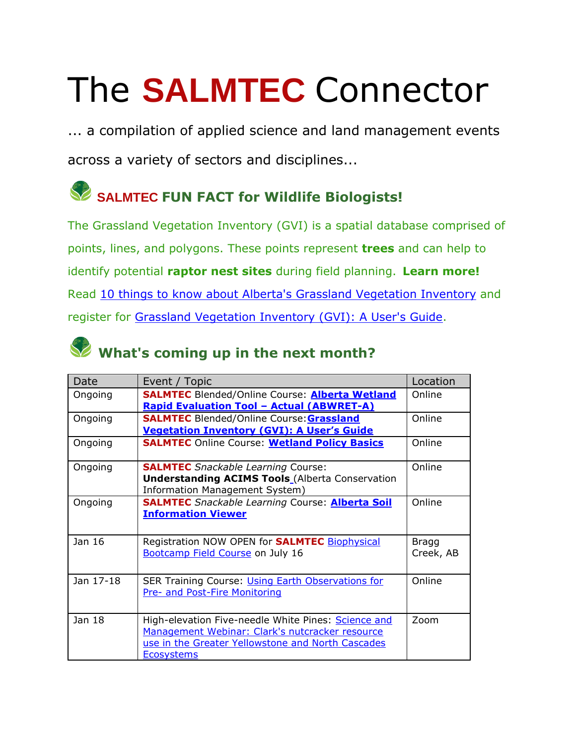## The **SALMTEC** Connector

... a compilation of applied science and land management events across a variety of sectors and disciplines...

## **SALMTEC FUN FACT for Wildlife Biologists!**

The Grassland Vegetation Inventory (GVI) is a spatial database comprised of points, lines, and polygons. These points represent **trees** and can help to identify potential **raptor nest sites** during field planning. **Learn more!** Read [10 things to know about Alberta's Grassland Vegetation Inventory](https://salmtec.com/blog) and register for [Grassland Vegetation Inventory \(GVI\): A User's Guide.](https://salmtec.com/courses/gvi-course)

|  |  |  |  |  |  | What's coming up in the next month? |
|--|--|--|--|--|--|-------------------------------------|
|--|--|--|--|--|--|-------------------------------------|

| Date      | Event / Topic                                                                                                                                                                    | Location                  |
|-----------|----------------------------------------------------------------------------------------------------------------------------------------------------------------------------------|---------------------------|
| Ongoing   | <b>SALMTEC Blended/Online Course: Alberta Wetland</b><br><b>Rapid Evaluation Tool - Actual (ABWRET-A)</b>                                                                        | Online                    |
| Ongoing   | <b>SALMTEC</b> Blended/Online Course: <b>Grassland</b><br><b>Vegetation Inventory (GVI): A User's Guide</b>                                                                      | Online                    |
| Ongoing   | <b>SALMTEC Online Course: Wetland Policy Basics</b>                                                                                                                              | Online                    |
| Ongoing   | <b>SALMTEC</b> Snackable Learning Course:<br><b>Understanding ACIMS Tools</b> (Alberta Conservation<br>Information Management System)                                            | Online                    |
| Ongoing   | <b>SALMTEC</b> Snackable Learning Course: <b>Alberta Soil</b><br><b>Information Viewer</b>                                                                                       | Online                    |
| Jan 16    | Registration NOW OPEN for <b>SALMTEC</b> Biophysical<br>Bootcamp Field Course on July 16                                                                                         | <b>Bragg</b><br>Creek, AB |
| Jan 17-18 | SER Training Course: Using Earth Observations for<br>Pre- and Post-Fire Monitoring                                                                                               | Online                    |
| Jan 18    | High-elevation Five-needle White Pines: Science and<br>Management Webinar: Clark's nutcracker resource<br>use in the Greater Yellowstone and North Cascades<br><b>Ecosystems</b> | Zoom                      |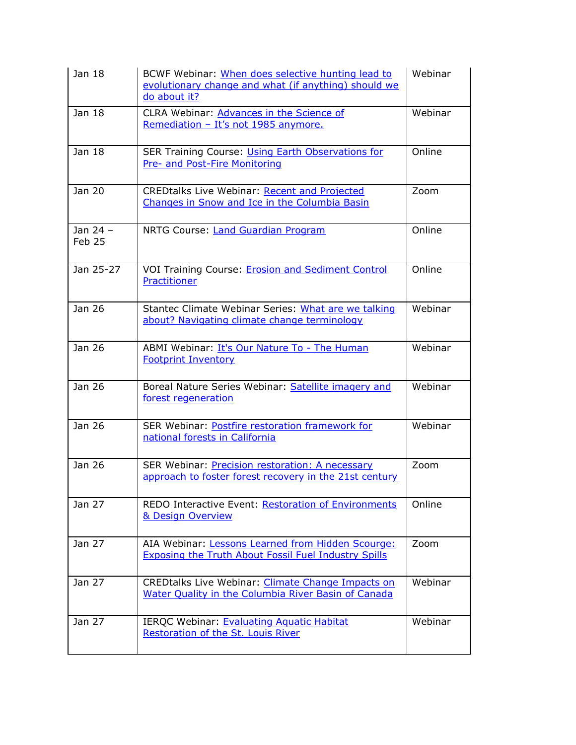| Jan 18               | BCWF Webinar: When does selective hunting lead to<br>evolutionary change and what (if anything) should we<br>do about it? | Webinar |
|----------------------|---------------------------------------------------------------------------------------------------------------------------|---------|
| Jan 18               | CLRA Webinar: Advances in the Science of<br>Remediation - It's not 1985 anymore.                                          | Webinar |
| Jan 18               | <b>SER Training Course: Using Earth Observations for</b><br>Pre- and Post-Fire Monitoring                                 | Online  |
| Jan 20               | <b>CREDtalks Live Webinar: Recent and Projected</b><br>Changes in Snow and Ice in the Columbia Basin                      | Zoom    |
| Jan $24 -$<br>Feb 25 | NRTG Course: Land Guardian Program                                                                                        | Online  |
| Jan 25-27            | VOI Training Course: Erosion and Sediment Control<br>Practitioner                                                         | Online  |
| Jan 26               | Stantec Climate Webinar Series: What are we talking<br>about? Navigating climate change terminology                       | Webinar |
| Jan 26               | ABMI Webinar: It's Our Nature To - The Human<br><b>Footprint Inventory</b>                                                | Webinar |
| Jan 26               | Boreal Nature Series Webinar: Satellite imagery and<br>forest regeneration                                                | Webinar |
| Jan 26               | SER Webinar: Postfire restoration framework for<br>national forests in California                                         | Webinar |
| Jan 26               | SER Webinar: Precision restoration: A necessary<br>approach to foster forest recovery in the 21st century                 | Zoom    |
| Jan 27               | REDO Interactive Event: Restoration of Environments<br>& Design Overview                                                  | Online  |
| Jan 27               | AIA Webinar: Lessons Learned from Hidden Scourge:<br><b>Exposing the Truth About Fossil Fuel Industry Spills</b>          | Zoom    |
| Jan 27               | CREDtalks Live Webinar: Climate Change Impacts on<br>Water Quality in the Columbia River Basin of Canada                  | Webinar |
| Jan 27               | IERQC Webinar: Evaluating Aquatic Habitat<br>Restoration of the St. Louis River                                           | Webinar |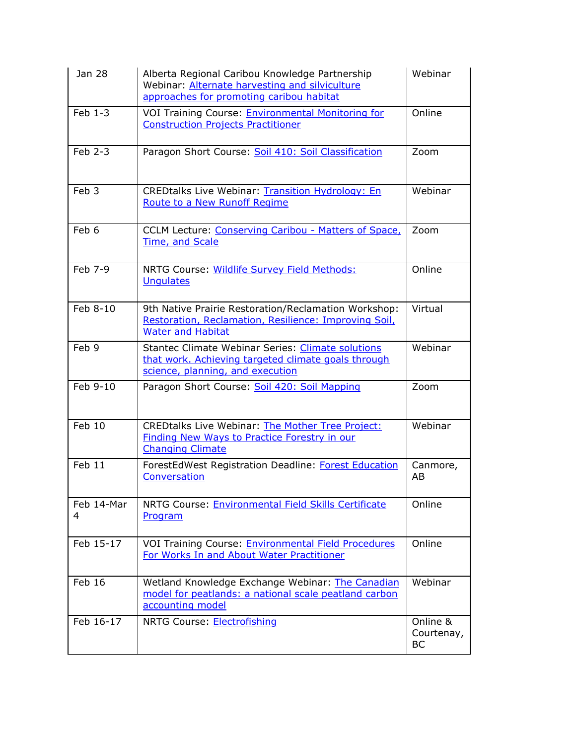| Jan 28           | Alberta Regional Caribou Knowledge Partnership<br>Webinar: Alternate harvesting and silviculture<br>approaches for promoting caribou habitat        | Webinar                             |
|------------------|-----------------------------------------------------------------------------------------------------------------------------------------------------|-------------------------------------|
| $Feb 1-3$        | VOI Training Course: <b>Environmental Monitoring for</b><br><b>Construction Projects Practitioner</b>                                               | Online                              |
| Feb 2-3          | Paragon Short Course: Soil 410: Soil Classification                                                                                                 | Zoom                                |
| Feb <sub>3</sub> | <b>CREDtalks Live Webinar: Transition Hydrology: En</b><br>Route to a New Runoff Regime                                                             | Webinar                             |
| Feb 6            | CCLM Lecture: Conserving Caribou - Matters of Space,<br>Time, and Scale                                                                             | Zoom                                |
| Feb 7-9          | NRTG Course: Wildlife Survey Field Methods:<br><b>Unqulates</b>                                                                                     | Online                              |
| Feb 8-10         | 9th Native Prairie Restoration/Reclamation Workshop:<br>Restoration, Reclamation, Resilience: Improving Soil,<br><b>Water and Habitat</b>           | Virtual                             |
| Feb 9            | <b>Stantec Climate Webinar Series: Climate solutions</b><br>that work. Achieving targeted climate goals through<br>science, planning, and execution | Webinar                             |
| Feb 9-10         | Paragon Short Course: Soil 420: Soil Mapping                                                                                                        | Zoom                                |
| Feb 10           | <b>CREDtalks Live Webinar: The Mother Tree Project:</b><br><b>Finding New Ways to Practice Forestry in our</b><br><b>Changing Climate</b>           | Webinar                             |
| Feb 11           | ForestEdWest Registration Deadline: Forest Education<br>Conversation                                                                                | Canmore,<br>AB                      |
| Feb 14-Mar<br>4  | NRTG Course: Environmental Field Skills Certificate<br>Program                                                                                      | Online                              |
| Feb 15-17        | <b>VOI Training Course: Environmental Field Procedures</b><br>For Works In and About Water Practitioner                                             | Online                              |
| Feb 16           | Wetland Knowledge Exchange Webinar: The Canadian<br>model for peatlands: a national scale peatland carbon<br>accounting model                       | Webinar                             |
| Feb 16-17        | NRTG Course: Electrofishing                                                                                                                         | Online &<br>Courtenay,<br><b>BC</b> |